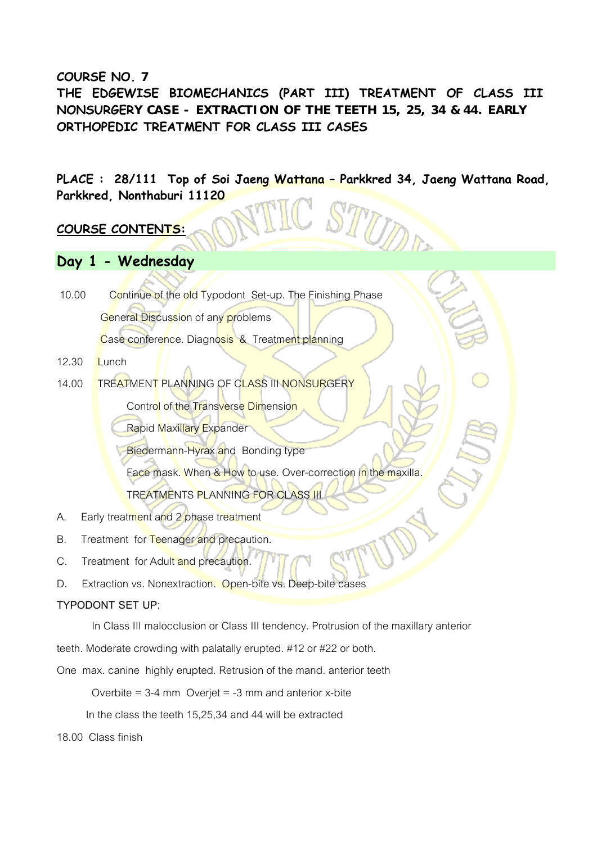**COURSE NO. 7**

**THE EDGEWISE BIOMECHANICS (PART III) TREATMENT OF CLASS III NONSURGERY CASE - EXTRACTION OF THE TEETH 15, 25, 34 & 44. EARLY ORTHOPEDIC TREATMENT FOR CLASS III CASES**

**PLACE : 28/111 Top of Soi Jaeng Wattana – Parkkred 34, Jaeng Wattana Road, Parkkred, Nonthaburi 11120** 

### **COURSE CONTENTS:**

## **Day 1 - Wednesday**

10.00 Continue of the old Typodont Set-up. The Finishing Phase General Discussion of any problems Case conference. Diagnosis & Treatment planning

12.30 Lunch

14.00 TREATMENT PLANNING OF CLASS III NONSURGERY

Control of the Transverse Dimension

**Rapid Maxillary Expander** 

Biedermann-Hyrax and Bonding type

Face mask. When & How to use. Over-correction in the maxilla. TREATMENTS PLANNING FOR CLASS III

A. Early treatment and 2 phase treatment

B. Treatment for Teenager and precaution.

- C. Treatment for Adult and precaution.
- D. Extraction vs. Nonextraction. Open-bite vs. Deep-bite cases

### **TYPODONT SET UP:**

In Class III malocclusion or Class III tendency. Protrusion of the maxillary anterior

teeth. Moderate crowding with palatally erupted. #12 or #22 or both.

One max. canine highly erupted. Retrusion of the mand. anterior teeth

Overbite =  $3-4$  mm Overjet =  $-3$  mm and anterior x-bite

In the class the teeth 15,25,34 and 44 will be extracted

18.00 Class finish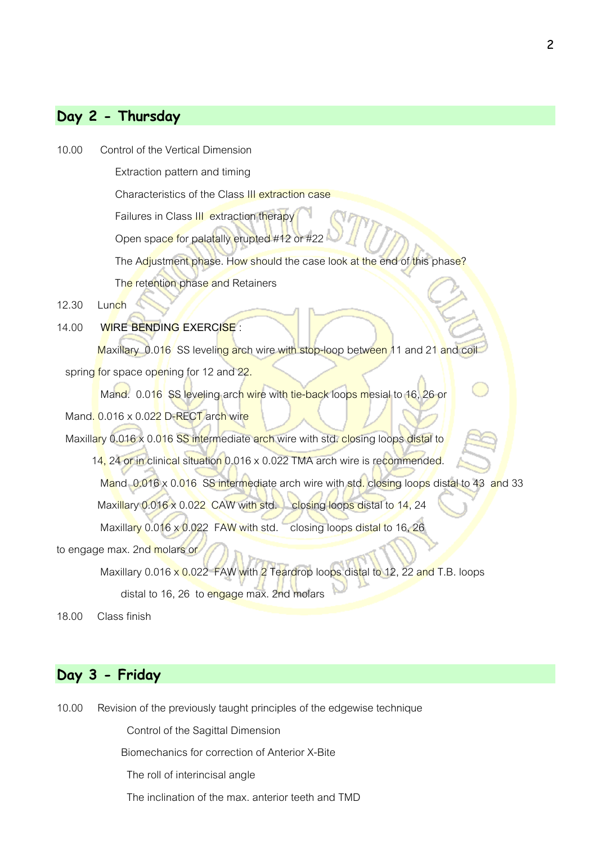## **Day 2 - Thursday**

10.00 Control of the Vertical Dimension

Extraction pattern and timing

Characteristics of the Class III extraction case

Failures in Class III extraction therapy

Open space for palatally erupted #12 or #22

The Adjustment phase. How should the case look at the end of this phase?

The retention phase and Retainers

#### 12.30 Lunch

14.00 **WIRE BENDING EXERCISE** :

Maxillary 0.016 SS leveling arch wire with stop-loop between 11 and 21 and coil

spring for space opening for 12 and 22.

Mand. 0.016 SS leveling arch wire with tie-back loops mesial to 16, 26 or

Mand. 0.016 x 0.022 D-RECT arch wire

Maxillary 0.016 x 0.016 SS intermediate arch wire with std. closing loops distal to

14, 24 or in clinical situation 0.016 x 0.022 TMA arch wire is recommended.

Mand 0.016 x 0.016 SS intermediate arch wire with std. closing loops distal to 43 and 33 Maxillary 0.016 x 0.022 CAW with std. closing loops distal to 14, 24

Maxillary 0.016 x 0.022 FAW with std. closing loops distal to 16, 26

to engage max. 2nd molars or

Maxillary 0.016 x 0.022 FAW with 2 Teardrop loops distal to 12, 22 and T.B. loops distal to 16, 26 to engage max. 2nd molars

18.00 Class finish

# **Day 3 - Friday**

10.00 Revision of the previously taught principles of the edgewise technique

Control of the Sagittal Dimension

Biomechanics for correction of Anterior X-Bite

The roll of interincisal angle

The inclination of the max. anterior teeth and TMD